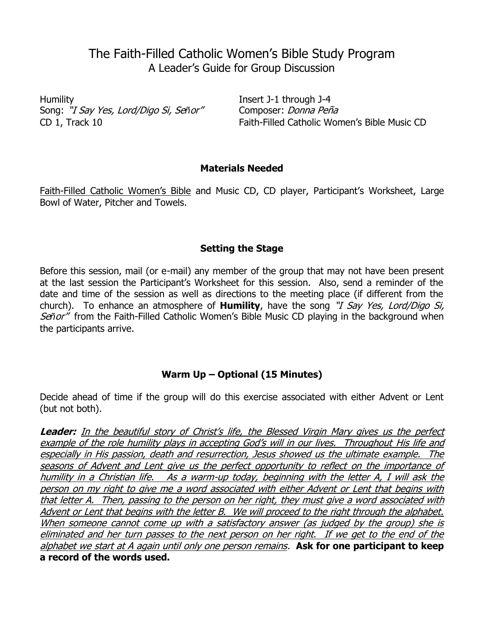# The Faith-Filled Catholic Women's Bible Study Program A Leader's Guide for Group Discussion

Humility Insert J-1 through J-4 Song: "I Say Yes, Lord/Digo Si, Señor" Composer: Donna Peña

CD 1, Track 10 Faith-Filled Catholic Women's Bible Music CD

## **Materials Needed**

Faith-Filled Catholic Women's Bible and Music CD, CD player, Participant's Worksheet, Large Bowl of Water, Pitcher and Towels.

# **Setting the Stage**

Before this session, mail (or e-mail) any member of the group that may not have been present at the last session the Participant's Worksheet for this session. Also, send a reminder of the date and time of the session as well as directions to the meeting place (if different from the church). To enhance an atmosphere of **Humility**, have the song "I Say Yes, Lord/Digo Si, Señor" from the Faith-Filled Catholic Women's Bible Music CD playing in the background when the participants arrive.

# **Warm Up – Optional (15 Minutes)**

Decide ahead of time if the group will do this exercise associated with either Advent or Lent (but not both).

**Leader:** In the beautiful story of Christ's life, the Blessed Virgin Mary gives us the perfect example of the role humility plays in accepting God's will in our lives. Throughout His life and especially in His passion, death and resurrection, Jesus showed us the ultimate example. The seasons of Advent and Lent give us the perfect opportunity to reflect on the importance of humility in a Christian life. As a warm-up today, beginning with the letter A, I will ask the person on my right to give me a word associated with either Advent or Lent that begins with that letter A. Then, passing to the person on her right, they must give a word associated with Advent or Lent that begins with the letter B. We will proceed to the right through the alphabet. When someone cannot come up with a satisfactory answer (as judged by the group) she is eliminated and her turn passes to the next person on her right. If we get to the end of the alphabet we start at A again until only one person remains. **Ask for one participant to keep a record of the words used.**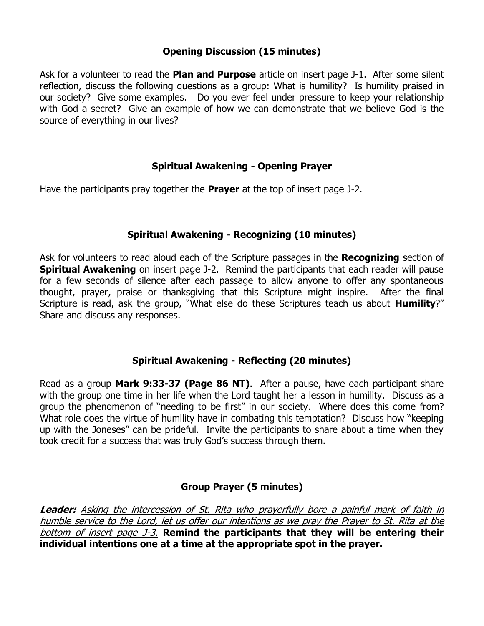## **Opening Discussion (15 minutes)**

Ask for a volunteer to read the **Plan and Purpose** article on insert page J-1. After some silent reflection, discuss the following questions as a group: What is humility? Is humility praised in our society? Give some examples. Do you ever feel under pressure to keep your relationship with God a secret? Give an example of how we can demonstrate that we believe God is the source of everything in our lives?

#### **Spiritual Awakening - Opening Prayer**

Have the participants pray together the **Prayer** at the top of insert page J-2.

#### **Spiritual Awakening - Recognizing (10 minutes)**

Ask for volunteers to read aloud each of the Scripture passages in the **Recognizing** section of **Spiritual Awakening** on insert page J-2. Remind the participants that each reader will pause for a few seconds of silence after each passage to allow anyone to offer any spontaneous thought, prayer, praise or thanksgiving that this Scripture might inspire. After the final Scripture is read, ask the group, "What else do these Scriptures teach us about **Humility**?" Share and discuss any responses.

#### **Spiritual Awakening - Reflecting (20 minutes)**

Read as a group **Mark 9:33-37 (Page 86 NT)**. After a pause, have each participant share with the group one time in her life when the Lord taught her a lesson in humility. Discuss as a group the phenomenon of "needing to be first" in our society. Where does this come from? What role does the virtue of humility have in combating this temptation? Discuss how "keeping up with the Joneses" can be prideful. Invite the participants to share about a time when they took credit for a success that was truly God's success through them.

#### **Group Prayer (5 minutes)**

**Leader:** Asking the intercession of St. Rita who prayerfully bore a painful mark of faith in humble service to the Lord, let us offer our intentions as we pray the Prayer to St. Rita at the bottom of insert page J-3. **Remind the participants that they will be entering their individual intentions one at a time at the appropriate spot in the prayer.**